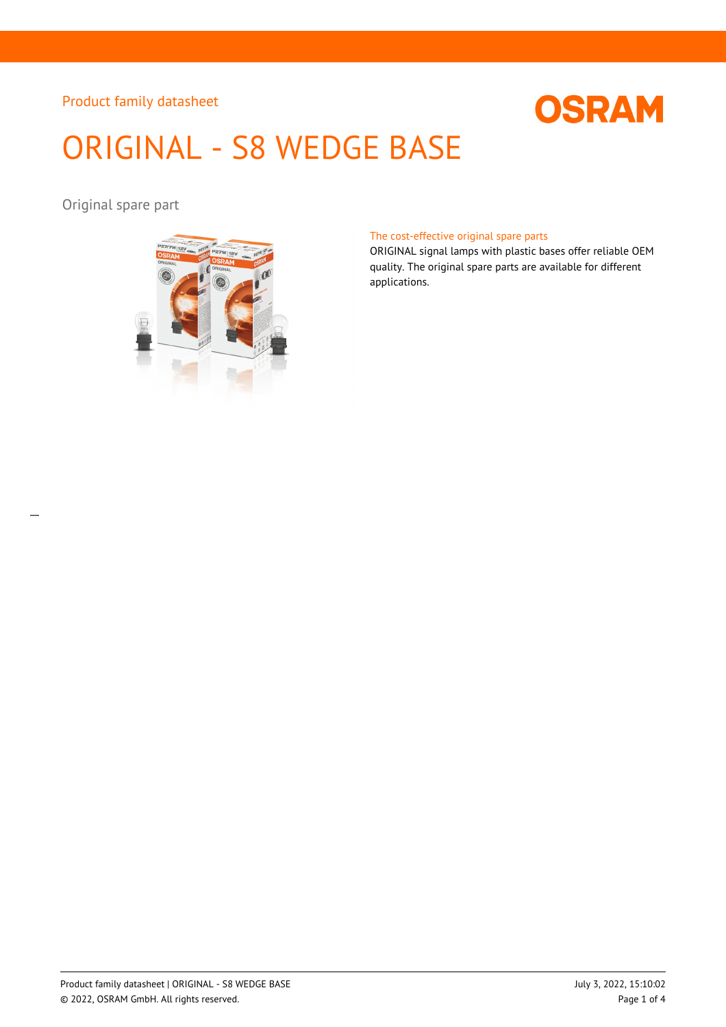

# ORIGINAL - S8 WEDGE BASE

Original spare part



#### The cost-effective original spare parts

ORIGINAL signal lamps with plastic bases offer reliable OEM quality. The original spare parts are available for different applications.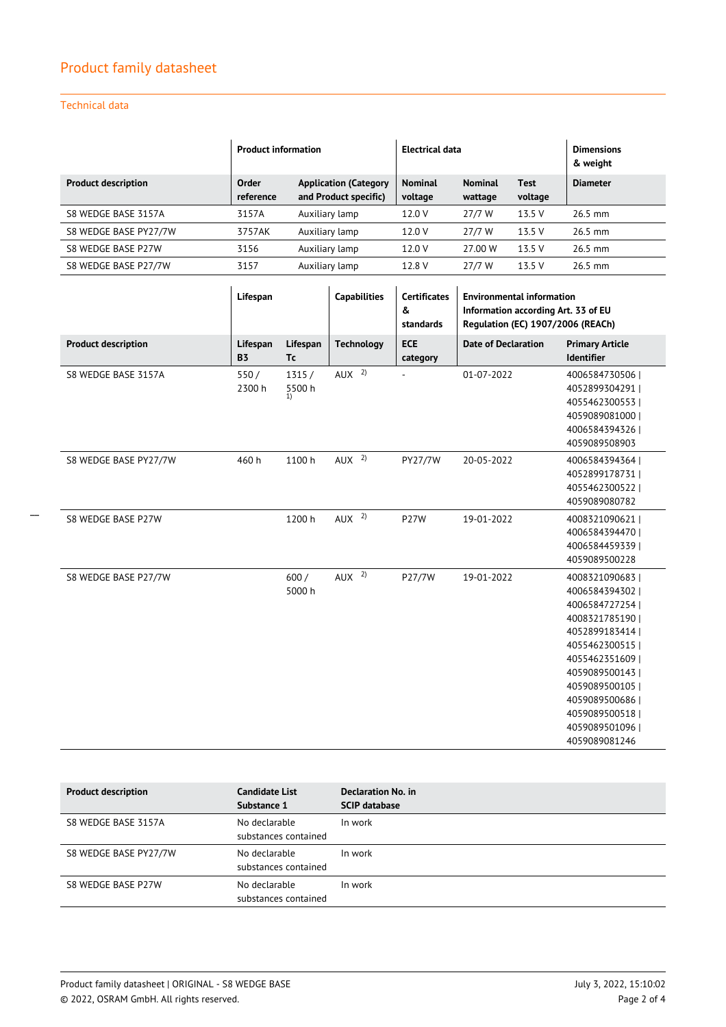## Technical data

 $\overline{a}$ 

|                            | <b>Product information</b> |                                                       | Electrical data           |                           |                 | <b>Dimensions</b><br>& weight |
|----------------------------|----------------------------|-------------------------------------------------------|---------------------------|---------------------------|-----------------|-------------------------------|
| <b>Product description</b> | Order<br>reference         | <b>Application (Category</b><br>and Product specific) | <b>Nominal</b><br>voltage | <b>Nominal</b><br>wattage | Test<br>voltage | <b>Diameter</b>               |
| S8 WEDGE BASE 3157A        | 3157A                      | Auxiliary lamp                                        | 12.0 V                    | 27/7 W                    | 13.5 V          | 26.5 mm                       |
| S8 WEDGE BASE PY27/7W      | 3757AK                     | Auxiliary lamp                                        | 12.0 V                    | 27/7 W                    | 13.5 V          | $26.5$ mm                     |
| S8 WEDGE BASE P27W         | 3156                       | Auxiliary lamp                                        | 12.0 V                    | 27.00 W                   | 13.5 V          | $26.5$ mm                     |
| S8 WEDGE BASE P27/7W       | 3157                       | Auxiliary lamp                                        | 12.8 V                    | 27/7 W                    | 13.5 V          | $26.5$ mm                     |

|                            | Lifespan              |                       | <b>Capabilities</b> | <b>Certificates</b><br>&<br>standards | <b>Environmental information</b><br>Information according Art. 33 of EU<br>Regulation (EC) 1907/2006 (REACh) |                                                                                                                                                                                                                                 |
|----------------------------|-----------------------|-----------------------|---------------------|---------------------------------------|--------------------------------------------------------------------------------------------------------------|---------------------------------------------------------------------------------------------------------------------------------------------------------------------------------------------------------------------------------|
| <b>Product description</b> | Lifespan<br><b>B3</b> | Lifespan<br><b>Tc</b> | <b>Technology</b>   | <b>ECE</b><br>category                | <b>Date of Declaration</b>                                                                                   | <b>Primary Article</b><br><b>Identifier</b>                                                                                                                                                                                     |
| S8 WEDGE BASE 3157A        | 550/<br>2300 h        | 1315/<br>5500h<br>1)  | AUX <sup>2</sup>    | $\overline{\phantom{a}}$              | 01-07-2022                                                                                                   | 4006584730506<br>4052899304291  <br>4055462300553<br>4059089081000  <br>40065843943261<br>4059089508903                                                                                                                         |
| S8 WEDGE BASE PY27/7W      | 460h                  | 1100h                 | AUX <sup>2</sup>    | PY27/7W                               | 20-05-2022                                                                                                   | 4006584394364<br>4052899178731<br>4055462300522<br>4059089080782                                                                                                                                                                |
| S8 WEDGE BASE P27W         |                       | 1200 h                | AUX <sup>2</sup>    | <b>P27W</b>                           | 19-01-2022                                                                                                   | 4008321090621<br>4006584394470  <br>4006584459339<br>4059089500228                                                                                                                                                              |
| S8 WEDGE BASE P27/7W       |                       | 600/<br>5000 h        | AUX <sup>2</sup>    | P27/7W                                | 19-01-2022                                                                                                   | 4008321090683<br>4006584394302  <br>4006584727254<br>4008321785190<br>4052899183414<br>4055462300515<br>4055462351609<br>4059089500143<br>4059089500105  <br>4059089500686<br>4059089500518<br>4059089501096  <br>4059089081246 |

| <b>Product description</b> | <b>Candidate List</b><br>Substance 1  | Declaration No. in<br><b>SCIP database</b> |
|----------------------------|---------------------------------------|--------------------------------------------|
| S8 WEDGE BASE 3157A        | No declarable<br>substances contained | In work                                    |
| S8 WEDGE BASE PY27/7W      | No declarable<br>substances contained | In work                                    |
| S8 WEDGE BASE P27W         | No declarable<br>substances contained | In work                                    |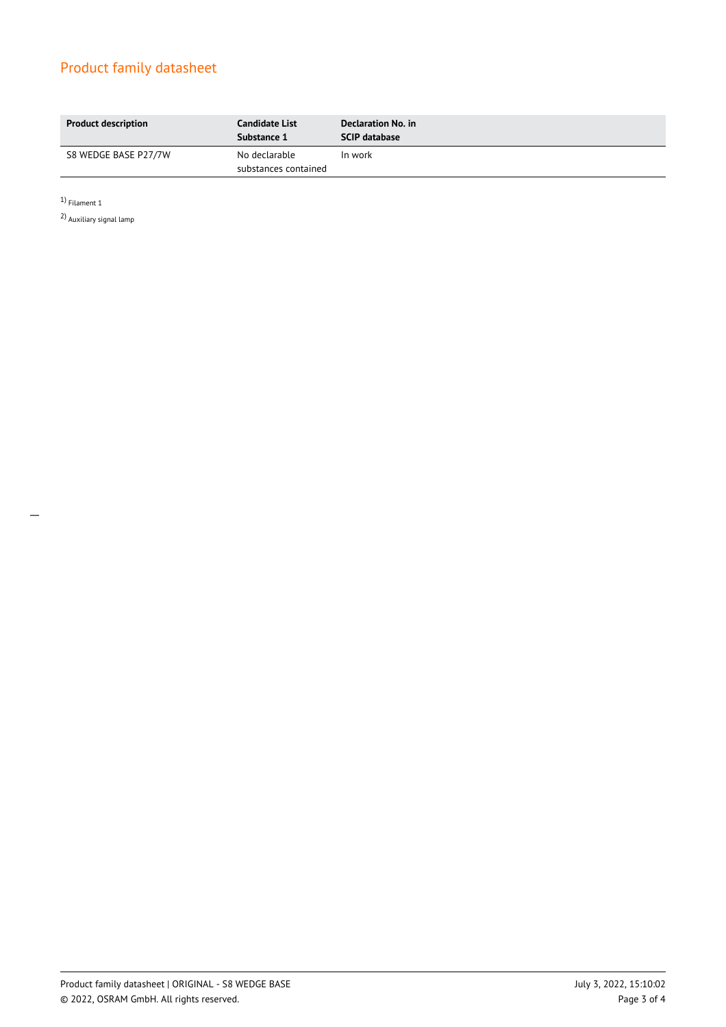| <b>Product description</b> | <b>Candidate List</b><br>Substance 1  | Declaration No. in<br><b>SCIP database</b> |
|----------------------------|---------------------------------------|--------------------------------------------|
| S8 WEDGE BASE P27/7W       | No declarable<br>substances contained | In work                                    |

1) Filament 1

 $\overline{\phantom{a}}$ 

2) Auxiliary signal lamp